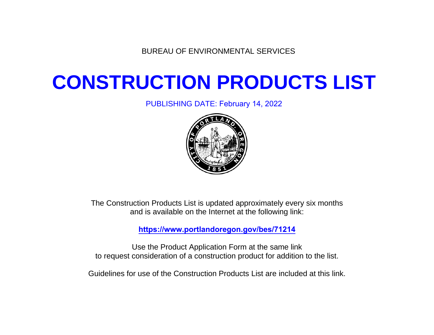BUREAU OF ENVIRONMENTAL SERVICES

## **CONSTRUCTION PRODUCTS LIST**

PUBLISHING DATE: February 14, 2022



The Construction Products List is updated approximately every six months and is available on the Internet at the following link:

**<https://www.portlandoregon.gov/bes/71214>**

Use the Product Application Form at the same link to request consideration of a construction product for addition to the list.

Guidelines for use of the Construction Products List are included at this link.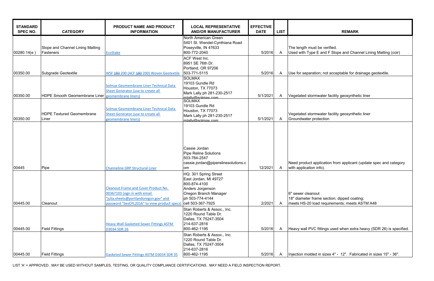| <b>STANDARD</b><br><b>SPEC NO.</b> | <b>CATEGORY</b>                                   | PRODUCT NAME AND PRODUCT<br><b>INFORMATION</b>                                                                                                                      | <b>LOCAL REPRESENTATIVE</b><br><b>AND/OR MANUFACTURER</b>                                                                                           | <b>EFFECTIVE</b><br><b>DATE</b> | <b>LIST</b>  | <b>REMARK</b>                                                                                         |
|------------------------------------|---------------------------------------------------|---------------------------------------------------------------------------------------------------------------------------------------------------------------------|-----------------------------------------------------------------------------------------------------------------------------------------------------|---------------------------------|--------------|-------------------------------------------------------------------------------------------------------|
| 00280.14(e)                        | Slope and Channel Lining Matting<br>Fasteners     | EcoStake                                                                                                                                                            | North American Green<br>5401 St. Wendel-Cynthiana Road<br>Poseyville, IN 47633<br>800-772-2040                                                      | 5/2016                          | $\mathsf{A}$ | The length must be verified.<br>Used with Type E and F Slope and Char                                 |
| 00350.00                           | Subgrade Geotextile                               | WSF 180 200 (ACF 180 200) Woven Geotextile                                                                                                                          | <b>ACF West Inc.</b><br>8951 SE 76th Dr.<br>Portland, OR 97206<br>503-771-5115                                                                      | 5/2016                          | A            | Use for separation; not acceptable for dr                                                             |
| 00350.00                           | HDPE Smooth Geomembrane Liner geomembrane liners) | Solmax Geomembrane Liner Technical Data<br>Sheet Generator (use to create all                                                                                       | <b>SOLMAX</b><br>19103 Gundle Rd<br>Houston, TX 77073<br>Mark Lally ph 281-230-2517<br>mlally@solmax.com                                            | 5/1/2021                        | A            | Vegetated stormwater facility geosynther                                                              |
| 00350.00                           | <b>HDPE Textured Geomembrane</b><br>Liner         | <b>Solmax Geomembrane Liner Technical Data</b><br>Sheet Generator (use to create all<br>geomembrane liners)                                                         | <b>SOLMAX</b><br>19103 Gundle Rd<br>Houston, TX 77073<br>Mark Lally ph 281-230-2517<br>mlally@solmax.com                                            | 5/1/2021                        | A            | Vegetated stormwater facility geosynthe<br>Groundwater protection                                     |
| 00445                              | Pipe                                              | <b>Channeline GRP Structural Liner</b>                                                                                                                              | Cassie Jordan<br><b>Pipe Reline Solutions</b><br>503-784-2547<br>cassie.jordan@piperelinesolutions.c<br>om.                                         | 12/2021                         | A            | Need product application from applicant<br>with application info).                                    |
| 00445.00                           | Cleanout                                          | <b>Cleanout Frame and Cover Product No.</b><br>00367103 (sign in with email<br>"julia.sheets@portlandoregon.gov" and<br>password "besCPL2016" to view product specs | HQ: 301 Spring Street<br>East Jordan, MI 49727<br>800-874-4100<br>Anders Jorgenson<br>Oregon Branch Manager<br>ph 503-774-4144<br>cell 503-367-7925 | 2/2021                          | A            | 6" sewer cleanout<br>18" diameter frame section; dipped coati<br>meets HS-20 load requirements; meets |
| 00445.00                           | <b>Field Fittings</b>                             | <b>Heavy Wall Gasketed Sewer Fittings ASTM</b><br><b>D3034 SDR 26</b>                                                                                               | Stan Roberts & Assoc., Inc.<br>1220 Round Table Dr.<br>Dallas, TX 75247-3504<br>214-637-2816<br>800-462-1195                                        | 5/2016                          | $\mathsf{A}$ | Heavy wall PVC fittings used when extra                                                               |
| 00445.00                           | <b>Field Fittings</b>                             | Gasketed Sewer Fittings ASTM D3034 SDR 35                                                                                                                           | Stan Roberts & Assoc., Inc.<br>1220 Round Table Dr.<br>Dallas, TX 75247-3504<br>214-637-2816<br>800-462-1195                                        | 5/2016                          | A            | Injection molded in sizes 4" - 12". Fabri                                                             |

LIST 'A' = APPROVED. MAY BE USED WITHOUT SAMPLES, TESTING, OR QUALITY COMPLIANCE CERTIFICATIONS. MAY NEED A FIELD INSPECTION REPORT.

| <b>REMARK</b> |  |
|---------------|--|
|               |  |

 $I$  and F Slope and Channel Lining Matting (coir)

on; not acceptable for drainage geotextile.

water facility geosynthetic liner

water facility geosynthetic liner tection

plication from applicant (update spec and category nfo).

me section; dipped coating; d requirements; meets ASTM A48

fittings used when extra heavy (SDR 26) is specified.

in sizes 4" - 12". Fabricated in sizes 15" - 36".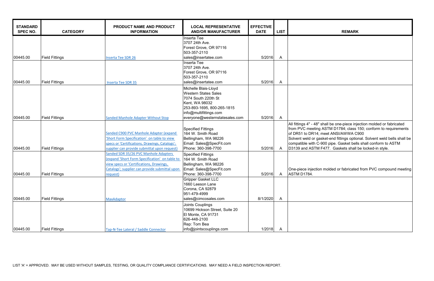| <b>STANDARD</b><br><b>SPEC NO.</b> | <b>CATEGORY</b>       | PRODUCT NAME AND PRODUCT<br><b>INFORMATION</b>                                                                                                                                                    | <b>LOCAL REPRESENTATIVE</b><br><b>AND/OR MANUFACTURER</b>                                                                                                                              | <b>EFFECTIVE</b><br><b>DATE</b> | <b>LIST</b>  | <b>REMARK</b>                                                                                                                                                                                                                                                 |
|------------------------------------|-----------------------|---------------------------------------------------------------------------------------------------------------------------------------------------------------------------------------------------|----------------------------------------------------------------------------------------------------------------------------------------------------------------------------------------|---------------------------------|--------------|---------------------------------------------------------------------------------------------------------------------------------------------------------------------------------------------------------------------------------------------------------------|
| 00445.00                           | <b>Field Fittings</b> | <b>Inserta Tee SDR 26</b>                                                                                                                                                                         | Inserta Tee<br>3707 24th Ave.<br>Forest Grove, OR 97116<br>503-357-2110<br>sales@insertatee.com                                                                                        | 5/2016                          | A            |                                                                                                                                                                                                                                                               |
| 00445.00                           | <b>Field Fittings</b> | <b>Inserta Tee SDR 35</b>                                                                                                                                                                         | Inserta Tee<br>3707 24th Ave.<br>Forest Grove, OR 97116<br>503-357-2110<br>sales@insertatee.com                                                                                        | 5/2016                          | A            |                                                                                                                                                                                                                                                               |
| 00445.00                           | <b>Field Fittings</b> | <b>Sanded Manhole Adapter Without Stop</b>                                                                                                                                                        | Michelle Blais-Lloyd<br><b>Western States Sales</b><br>7074 South 220th St<br>Kent, WA 98032<br>253-893-1695, 800-265-1815<br>info@multifittings.com<br>everyone@westernstatesales.com | 5/2016                          | $\mathsf{A}$ |                                                                                                                                                                                                                                                               |
| 00445.00                           | <b>Field Fittings</b> | Sanded C900 PVC Manhole Adapter (expand<br>'Short Form Specification' on table to view<br>specs or 'Certifications, Drawings, Catalogs';<br>supplier can provide submittal upon request)          | <b>Specified Fittings</b><br>164 W. Smith Road<br>Bellingham, WA 98226<br>Email: Sales@SpecFit.com<br>Phone: 360-398-7700                                                              | 5/2016                          | $\mathsf{A}$ | All fittings 4" - 48" shall be one-piece inje<br>from PVC meeting ASTM D1784; class 1<br>of DR51 to DR14; meet ANSI/AWWA C9<br>Solvent weld or gasket-end fittings optior<br>compatible with C-900 pipe. Gasket bells<br>D3139 and ASTM F477. Gaskets shall I |
| 00445.00                           | <b>Field Fittings</b> | Sanded SDR 35/26 PVC Manhole Adapters<br>(expand 'Short Form Specification' on table to<br>view specs or 'Certifications, Drawings,<br>Catalogs'; supplier can provide submittal upon<br>request) | <b>Specified Fittings</b><br>164 W. Smith Road<br>Bellingham, WA 98226<br>Email: Sales@SpecFit.com<br>Phone: 360-398-7700                                                              | 5/2016                          | A            | One-piece injection molded or fabricated<br>ASTM D1784.                                                                                                                                                                                                       |
| 00445.00                           | <b>Field Fittings</b> | MaxAdaptor                                                                                                                                                                                        | <b>Gripper Gasket LLC</b><br>1660 Leeson Lane<br>Corona, CA 92879<br>951-479-4999<br>sales@cimcosales.com                                                                              | 8/1/2020                        | A            |                                                                                                                                                                                                                                                               |
| 00445.00                           | <b>Field Fittings</b> | Tap-N-Tee Lateral / Saddle Connector                                                                                                                                                              | Joints Couplings<br>10699 Hickson Street, Suite 20<br>El Monte, CA 91731<br>626-448-2100<br>Rep: Tom Bea<br>info@jointscouplings.com                                                   | 1/2018                          | $\mathsf{A}$ |                                                                                                                                                                                                                                                               |

" shall be one-piece injection molded or fabricated ng ASTM D1784; class 150; conform to requirements 4; meet ANSI/AWWA C900 gasket-end fittings optional. Solvent weld bells shall be c-900 pipe. Gasket bells shall conform to ASTM  $M$  F477. Gaskets shall be locked-in style.

ion molded or fabricated from PVC compound meeting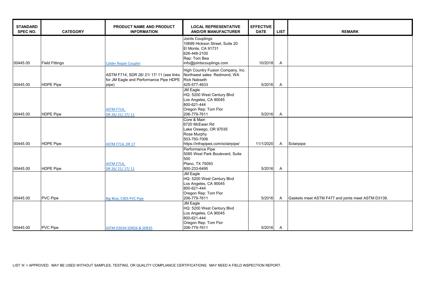| <b>STANDARD</b><br><b>SPEC NO.</b> | <b>CATEGORY</b>       | PRODUCT NAME AND PRODUCT<br><b>INFORMATION</b>        | <b>LOCAL REPRESENTATIVE</b><br><b>AND/OR MANUFACTURER</b>                | <b>EFFECTIVE</b><br><b>DATE</b> | <b>LIST</b>    | <b>REMARK</b>                                      |
|------------------------------------|-----------------------|-------------------------------------------------------|--------------------------------------------------------------------------|---------------------------------|----------------|----------------------------------------------------|
|                                    |                       |                                                       | Joints Couplings<br>10699 Hickson Street, Suite 20<br>El Monte, CA 91731 |                                 |                |                                                    |
|                                    |                       |                                                       | 626-448-2100                                                             |                                 |                |                                                    |
|                                    |                       |                                                       | Rep: Tom Bea                                                             |                                 |                |                                                    |
| 00445.00                           | <b>Field Fittings</b> | <b>Calder Repair Coupler</b>                          | info@jointscouplings.com                                                 | 10/2018                         | $\overline{A}$ |                                                    |
|                                    |                       |                                                       | High Country Fusion Company, Inc.                                        |                                 |                |                                                    |
|                                    |                       | ASTM F714, SDR 26/ 21/ 17/ 11 (see links              | Northwest sales: Redmond, WA                                             |                                 |                |                                                    |
|                                    |                       | for JM Eagle and Performance Pipe HDPE   Rick Nabseth |                                                                          |                                 |                |                                                    |
| 00445.00                           | <b>HDPE Pipe</b>      | pipe)                                                 | 425-577-4633                                                             | 5/2016                          | $\overline{A}$ |                                                    |
|                                    |                       |                                                       | <b>JM Eagle</b>                                                          |                                 |                |                                                    |
|                                    |                       |                                                       | HQ: 5200 West Century Blvd                                               |                                 |                |                                                    |
|                                    |                       |                                                       | Los Angeles, CA 90045                                                    |                                 |                |                                                    |
|                                    |                       |                                                       | 800-621-444                                                              |                                 |                |                                                    |
|                                    |                       | <b>ASTM F714,</b>                                     | Oregon Rep: Tom Flor                                                     |                                 |                |                                                    |
| 00445.00                           | <b>HDPE Pipe</b>      | DR 26/21/17/11                                        | 206-779-7611                                                             | 5/2016                          | $\mathsf{A}$   |                                                    |
|                                    |                       |                                                       | Core & Main                                                              |                                 |                |                                                    |
|                                    |                       |                                                       | 6720 McEwan Rd                                                           |                                 |                |                                                    |
|                                    |                       |                                                       | Lake Oswego, OR 97035                                                    |                                 |                |                                                    |
|                                    |                       |                                                       | Rose Murphy                                                              |                                 |                |                                                    |
|                                    |                       |                                                       | 503-750-7006                                                             |                                 |                |                                                    |
| 00445.00                           | <b>HDPE Pipe</b>      | <b>ASTM F714, DR 17</b>                               | https://infrapipes.com/sclairpipe/                                       | 11/1/2020                       | $\mathsf{A}$   | Sclairpipe                                         |
|                                    |                       |                                                       | Performance Pipe                                                         |                                 |                |                                                    |
|                                    |                       |                                                       | 5085 West Park Boulevard, Suite<br>500                                   |                                 |                |                                                    |
|                                    |                       |                                                       | Plano, TX 75093                                                          |                                 |                |                                                    |
| 00445.00                           | <b>HDPE Pipe</b>      | <b>ASTM F714,</b><br>DR 26/21/17/11                   | 800-233-6495                                                             | 5/2016                          | $\mathsf{A}$   |                                                    |
|                                    |                       |                                                       | <b>JM Eagle</b>                                                          |                                 |                |                                                    |
|                                    |                       |                                                       | HQ: 5200 West Century Blvd                                               |                                 |                |                                                    |
|                                    |                       |                                                       | Los Angeles, CA 90045                                                    |                                 |                |                                                    |
|                                    |                       |                                                       | 800-621-444                                                              |                                 |                |                                                    |
|                                    |                       |                                                       | Oregon Rep: Tom Flor                                                     |                                 |                |                                                    |
| 00445.00                           | <b>PVC Pipe</b>       | Big Blue, C905 PVC Pipe                               | 206-779-7611                                                             | 5/2016                          | $\mathsf{A}$   | Gaskets meet ASTM F477 and joints meet ASTM D3139. |
|                                    |                       |                                                       | <b>JM Eagle</b>                                                          |                                 |                |                                                    |
|                                    |                       |                                                       | HQ: 5200 West Century Blvd                                               |                                 |                |                                                    |
|                                    |                       |                                                       | Los Angeles, CA 90045                                                    |                                 |                |                                                    |
|                                    |                       |                                                       | 800-621-444                                                              |                                 |                |                                                    |
|                                    |                       |                                                       | Oregon Rep: Tom Flor                                                     |                                 |                |                                                    |
| 00445.00                           | <b>PVC Pipe</b>       | <b>ASTM D3034 SDR26 &amp; SDR35</b>                   | 206-779-7611                                                             | 5/2016                          | A              |                                                    |

| <b>REMARK</b>                       |
|-------------------------------------|
|                                     |
|                                     |
|                                     |
|                                     |
|                                     |
|                                     |
|                                     |
|                                     |
|                                     |
|                                     |
|                                     |
|                                     |
|                                     |
|                                     |
| TM F477 and joints meet ASTM D3139. |
|                                     |
|                                     |
|                                     |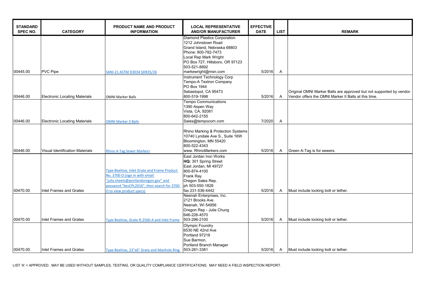| <b>REMARK</b>                                                                                                                |  |  |  |  |  |  |
|------------------------------------------------------------------------------------------------------------------------------|--|--|--|--|--|--|
|                                                                                                                              |  |  |  |  |  |  |
|                                                                                                                              |  |  |  |  |  |  |
|                                                                                                                              |  |  |  |  |  |  |
|                                                                                                                              |  |  |  |  |  |  |
|                                                                                                                              |  |  |  |  |  |  |
|                                                                                                                              |  |  |  |  |  |  |
|                                                                                                                              |  |  |  |  |  |  |
|                                                                                                                              |  |  |  |  |  |  |
| Original OMNI Marker Balls are approved but not supported by vendor.<br>Vendor offers the OMNI Marker II Balls at this time. |  |  |  |  |  |  |
|                                                                                                                              |  |  |  |  |  |  |
|                                                                                                                              |  |  |  |  |  |  |
|                                                                                                                              |  |  |  |  |  |  |
|                                                                                                                              |  |  |  |  |  |  |
|                                                                                                                              |  |  |  |  |  |  |
|                                                                                                                              |  |  |  |  |  |  |
|                                                                                                                              |  |  |  |  |  |  |
| Green A-Tag is for sewers.                                                                                                   |  |  |  |  |  |  |
|                                                                                                                              |  |  |  |  |  |  |
|                                                                                                                              |  |  |  |  |  |  |
|                                                                                                                              |  |  |  |  |  |  |
|                                                                                                                              |  |  |  |  |  |  |
|                                                                                                                              |  |  |  |  |  |  |
| Must include locking bolt or tether.                                                                                         |  |  |  |  |  |  |
|                                                                                                                              |  |  |  |  |  |  |
|                                                                                                                              |  |  |  |  |  |  |
|                                                                                                                              |  |  |  |  |  |  |
| Must include locking bolt or tether.                                                                                         |  |  |  |  |  |  |
|                                                                                                                              |  |  |  |  |  |  |
|                                                                                                                              |  |  |  |  |  |  |
|                                                                                                                              |  |  |  |  |  |  |
|                                                                                                                              |  |  |  |  |  |  |
| Must include locking bolt or tether.                                                                                         |  |  |  |  |  |  |
|                                                                                                                              |  |  |  |  |  |  |

| <b>STANDARD</b><br><b>SPEC NO.</b> | <b>CATEGORY</b>                                    | PRODUCT NAME AND PRODUCT<br><b>INFORMATION</b>                                                                                                                                                           | <b>LOCAL REPRESENTATIVE</b><br><b>AND/OR MANUFACTURER</b>                                                                                                                                                            | <b>EFFECTIVE</b><br><b>DATE</b> | <b>LIST</b>  | <b>REMARK</b>                                                                      |
|------------------------------------|----------------------------------------------------|----------------------------------------------------------------------------------------------------------------------------------------------------------------------------------------------------------|----------------------------------------------------------------------------------------------------------------------------------------------------------------------------------------------------------------------|---------------------------------|--------------|------------------------------------------------------------------------------------|
| 00445.00                           | <b>PVC Pipe</b>                                    | SANI-21 ASTM D3034 SDR35/26                                                                                                                                                                              | <b>Diamond Plastics Corporation</b><br>1212 Johnstown Road<br>Grand Island, Nebraska 68803<br>Phone: 800-782-7473<br>Local Rep Mark Wright<br>PO Box 727, Hillsboro, OR 97123<br>503-521-8892<br>markewright@msn.com | 5/2016                          | A            |                                                                                    |
| 00446.00                           | <b>Electronic Locating Materials</b>               | <b>OMNI Marker Balls</b>                                                                                                                                                                                 | <b>Instrument Technology Corp</b><br><b>Tempo-A Textron Company</b><br>PO Box 1944<br>Sebastopol, CA 95473<br>800-519-1998                                                                                           | 5/2016                          | $\mathsf{A}$ | Original OMNI Marker Balls are approve<br>Vendor offers the OMNI Marker II Balls a |
| 00446.00                           | <b>Electronic Locating Materials</b>               | <b>OMNI Marker II Balls</b>                                                                                                                                                                              | <b>Tempo Communications</b><br>1390 Aspen Way<br>Vista, CA, 92081<br>800-642-2155<br>Sales@tempocom.com                                                                                                              | 7/2020                          | A            |                                                                                    |
|                                    |                                                    |                                                                                                                                                                                                          | Rhino Marking & Protection Systems<br>10740 Lyndale Ave S., Suite 16W<br>Bloomington, MN 55420<br>800-522-4343                                                                                                       |                                 |              |                                                                                    |
| 00446.00                           | Visual Identification Materials                    | <b>Rhino A-Tag Sewer Markers</b><br>Type Beehive, Inlet Grate and Frame Product<br>No. 3700 O (sign in with email<br>julia.sheets@portlandoregon.gov" and<br>password "besCPL2016", then search for 3700 | www. RhinoMarkers.com<br>East Jordan Iron Works<br>HQ: 301 Spring Street<br>East Jordan, MI 49727<br>800-874-4100<br><b>Frank Ray</b><br>Oregon Sales Rep.<br>ph 503-550-1828                                        | 5/2016                          | A            | Green A-Tag is for sewers.                                                         |
| 00470.00                           | Inlet Frames and Grates                            | O to view product specs)                                                                                                                                                                                 | fax 231-536-4442<br>Neenah Enterprises, Inc.<br>2121 Brooks Ave.<br>Neenah, WI 54956<br>Oregon Rep - Julie Chung<br>646-226-4570                                                                                     | 5/2016                          | A            | Must include locking bolt or tether.                                               |
| 00470.00<br>00470.00               | Inlet Frames and Grates<br>Inlet Frames and Grates | Type Beehive, Grate R-2560-A and Inlet Frame<br>Type Beehive, 23"x6" Grate and Manhole Ring                                                                                                              | 503-296-2100<br><b>Olympic Foundry</b><br>6530 NE 42nd Ave<br>Portland 97218<br>Sue Barmon,<br>Portland Branch Manager<br>503-281-3381                                                                               | 5/2016<br>5/2016                | A<br>A       | Must include locking bolt or tether.<br>Must include locking bolt or tether.       |